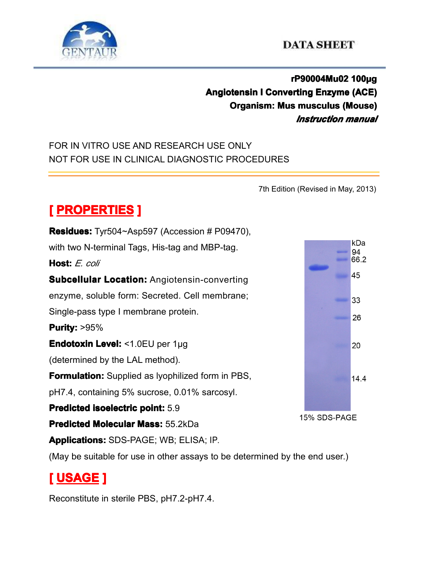

**rP90004Mu02 P90004Mu02P90004Mu02 P90004Mu02100µg Angiotensin I Converting Enzyme (ACE) Organism: Organism: Mus musculus musculus musculus musculus (Mouse) (Mouse) (Mouse)** *Instruction manual*

#### FOR IN VITRO USE AND RESEARCH USE ONLY NOT FOR USE IN CLINICAL DIAGNOSTIC PROCEDURES

7th Edition (Revised in May, 2013)

# $[$  **PROPERTIES**

**Residues:** Tyr504~Asp597 (Accession # P09470), with two N-terminal Tags, His-tag and MBP-tag. **Host:** *E. coli* **Subcellular Subcellular Location:** Angiotensin-converting enzyme, soluble form: Secreted. Cell membrane; Single-pass type I membrane protein. **Purity:**  $>95\%$ **Endotoxin Level:** <1.0EU per 1μg (determined by the LAL method). **Formulation:** Supplied as lyophilized form in PBS, pH7.4, containing 5% sucrose, 0.01% sarcosyl. **Predicted Predicted[isoelectric](app:ds:  isoelectric point) isoelectric point:** 5.9 **Predicted Predicted Predicted Molecular Molecular Mass:** 55.2kDa **Applications:** SDS-PAGE; WB; ELISA; IP.

(May be suitable for use in other assays to be determined by the end user.)

## **[ USAGE ]**

Reconstitute in sterile PBS, pH7.2-pH7.4.



15% SDS-PAGE